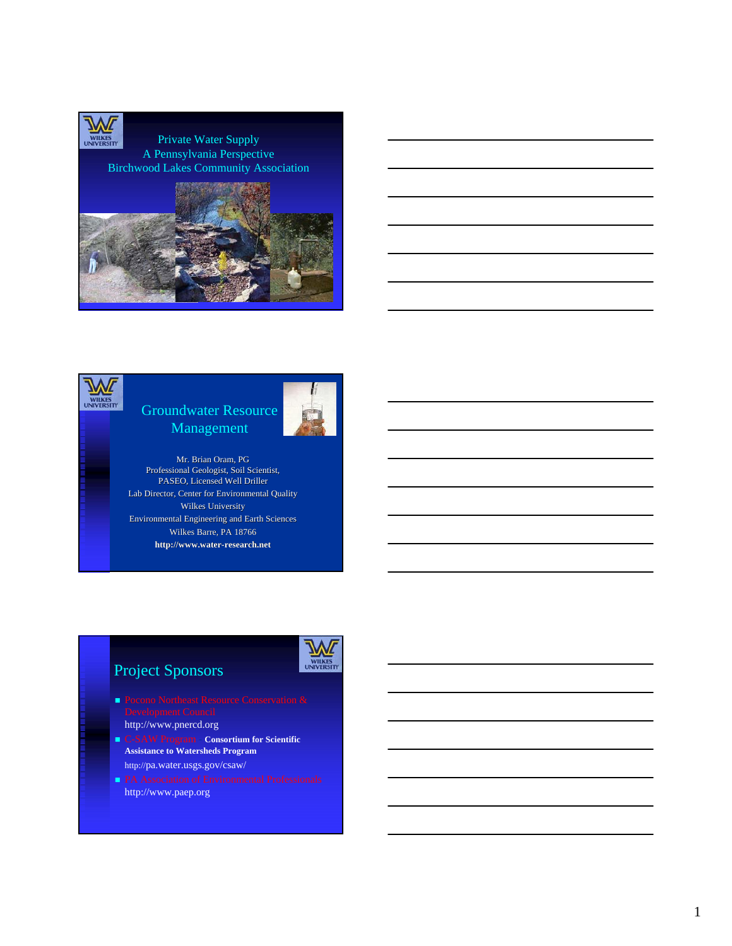



## Groundwater Resource Management



Mr. Brian Oram, PG Professional Geologist, Soil Scientist, PASEO, Licensed Well Driller Lab Director, Center for Environmental Quality Wilkes University Environmental Engineering and Earth Sciences Wilkes Barre, PA 18766 **http://www.water-research.net**





- **Pocono Northeast Resource Conservation &** 
	- http://www.pnercd.org
- C-SAW Program **Consortium for Scientific Assistance to Watersheds Program**
- http://pa.water.usgs.gov/csaw/
- http://www.paep.org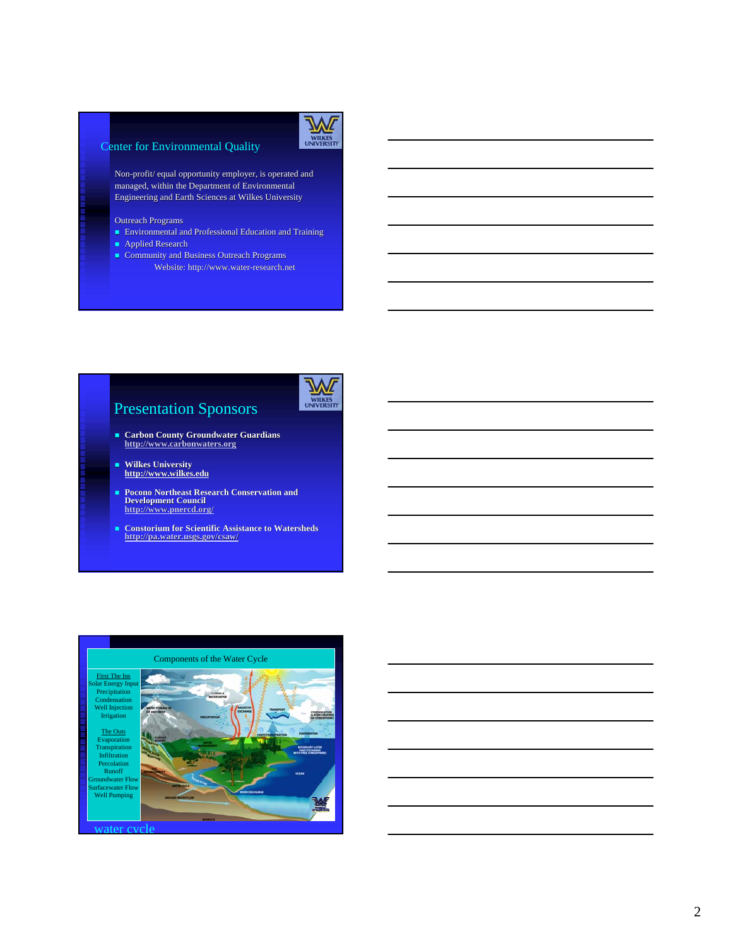

#### Center for Environmental Quality

Non-profit/ equal opportunity employer, is operated and managed, within the Department of Environmental managed, within the Department of Environmental Engineering and Earth Sciences at Wilkes University

- Outreach Programs
- **Environmental and Professional Education and Training**
- **Applied Research**
- Community and Business Outreach Programs Website: http://www.water-research.net



# Presentation Sponsors

- **Carbon County Groundwater Guardians http:// http://www.carbonwaters.org**
- **Wilkes University http:// http://www.wilkes. www.wilkes.edu**
- **Pocono Northeast Research Conservation and Development Council http:// http://www.pnercd.org/**
- **Constorium for Scientific Assistance to Watersheds http:// http://pa.water.usgs.gov/csaw/**

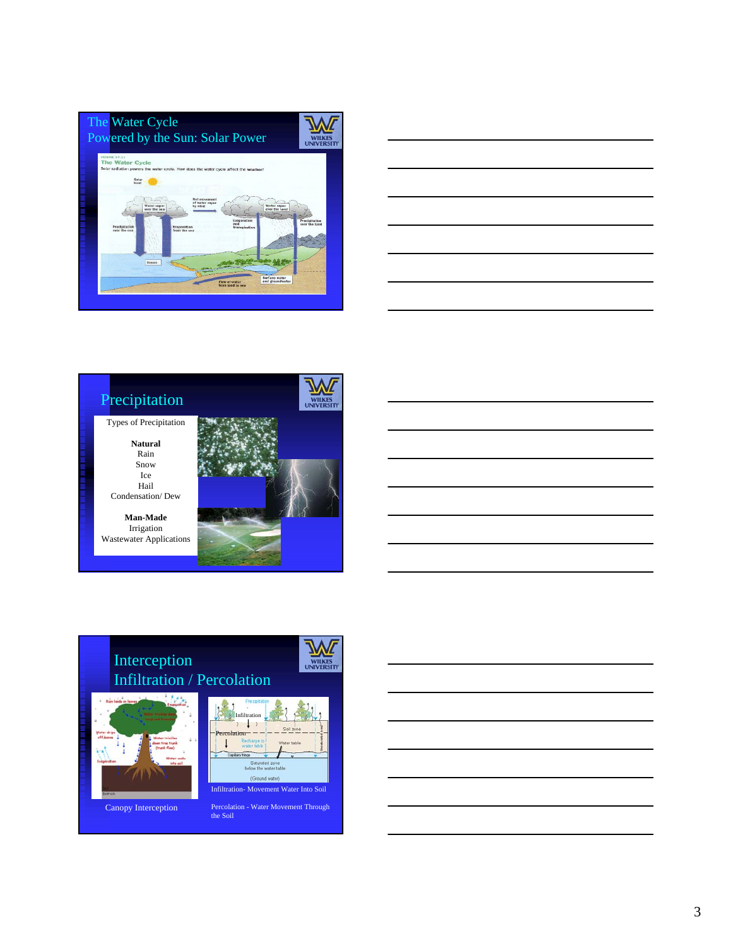





# Interception Infiltration / Percolation



Canopy Interception



wil

Percolation - Water Movement Through the Soil

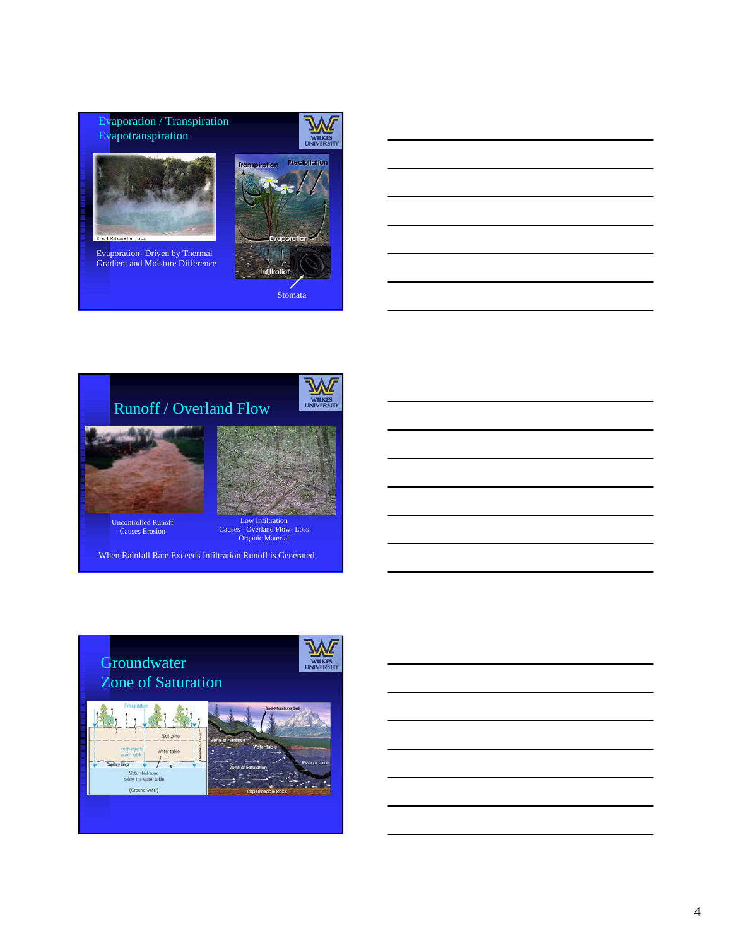Evaporation / Transpiration Evapotranspiration



Evaporation- Driven by Thermal Gradient and Moisture Difference





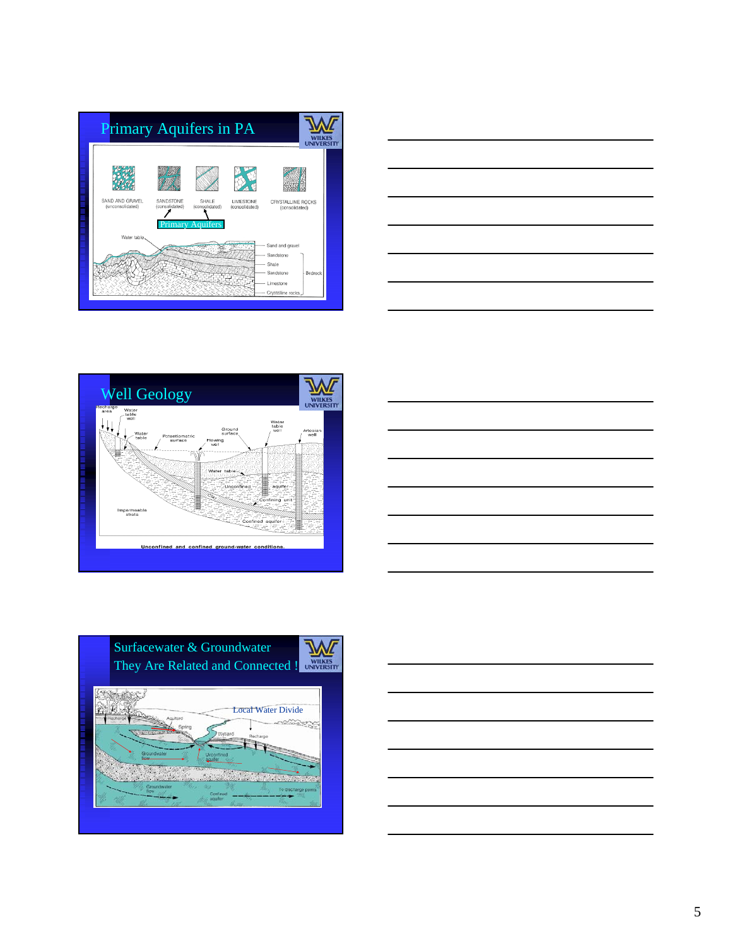









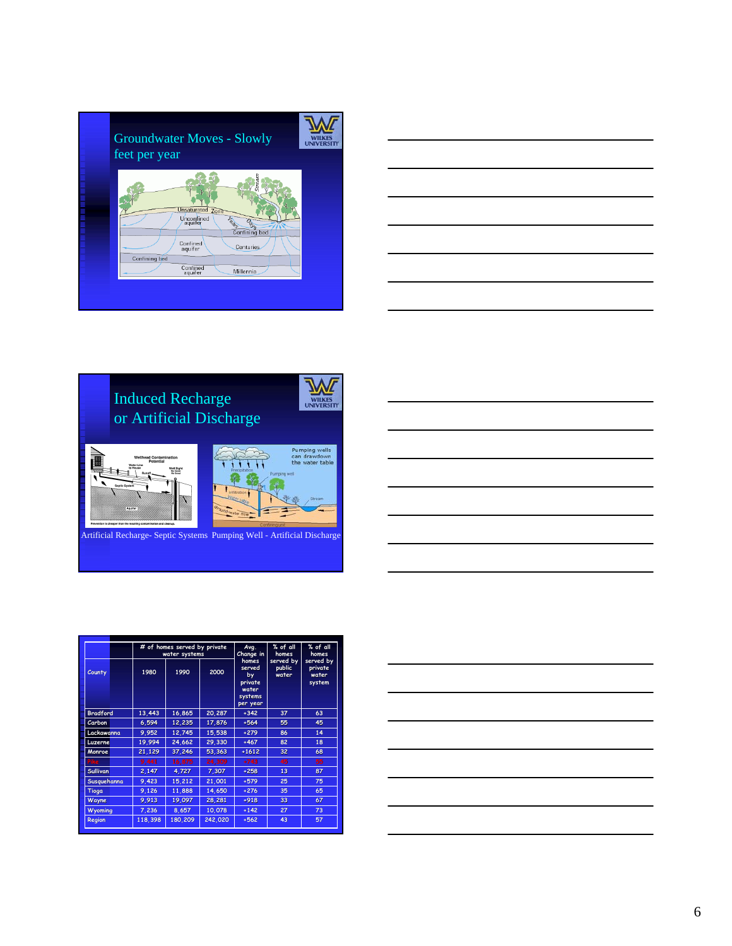| <b>Groundwater Moves - Slowly</b><br>feet per year                                                                                                                                          |
|---------------------------------------------------------------------------------------------------------------------------------------------------------------------------------------------|
| rear<br><b>Unsaturated</b> Zone<br>Unconfined<br>/ aquiter<br>Lead<br>Days<br>Confining bed<br>Confined<br><b>Centuries</b><br>aquifer<br>Confining bed<br>Confined<br>aquifer<br>Millennia |

| $\overline{\phantom{a}}$ |                                                                                                                                                                                                                               |  |     |
|--------------------------|-------------------------------------------------------------------------------------------------------------------------------------------------------------------------------------------------------------------------------|--|-----|
|                          | the control of the control of the control of the control of the control of the control of the control of the control of the control of the control of the control of the control of the control of the control of the control |  |     |
|                          |                                                                                                                                                                                                                               |  |     |
|                          |                                                                                                                                                                                                                               |  | ___ |
|                          |                                                                                                                                                                                                                               |  |     |



|  |  | ___  |
|--|--|------|
|  |  |      |
|  |  |      |
|  |  | ____ |
|  |  | _    |
|  |  |      |

|                 | # of homes served by private<br>water systems |              | Avg.<br>Change in | % of all<br>homes                                                | % of all<br>homes            |                                         |
|-----------------|-----------------------------------------------|--------------|-------------------|------------------------------------------------------------------|------------------------------|-----------------------------------------|
| County          | 1980                                          | 2000<br>1990 |                   | homes<br>served<br>by<br>private<br>water<br>systems<br>per year | served by<br>public<br>water | served by<br>private<br>water<br>system |
| <b>Bradford</b> | 13,443                                        | 16,865       | 20,287            | $+342$                                                           | 37                           | 63                                      |
| Carbon          | 6.594                                         | 12,235       | 17,876            | $+564$                                                           | 55                           | 45                                      |
| Lackawanna      | 9,952                                         | 12,745       | 15,538            | $+279$                                                           | 86                           | 14                                      |
| Luzerne         | 19,994                                        | 24,662       | 29,330            | $+467$                                                           | 82                           | 18                                      |
| Monroe          | 21,129                                        | 37,246       | 53,363            | $+1612$                                                          | 32                           | 68                                      |
| <b>Pike</b>     | 9,441                                         | 16,875       | 24,309            | $+743$                                                           | 45                           | 55                                      |
| <b>Sullivan</b> | 2.147                                         | 4,727        | 7,307             | $+258$                                                           | 13                           | 87                                      |
| Susquehanna     | 9.423                                         | 15.212       | 21.001            | $+579$                                                           | 25                           | 75                                      |
| Tioga           | 9,126                                         | 11,888       | 14,650            | $+276$                                                           | 35                           | 65                                      |
| Wayne           | 9,913                                         | 19,097       | 28,281            | $+918$                                                           | 33                           | 67                                      |
| <b>Wyoming</b>  | 7,236                                         | 8,657        | 10.078            | $+142$                                                           | 27                           | 73                                      |
| Region          | 118.398                                       | 180.209      | 242.020           | $+562$                                                           | 43                           | 57                                      |

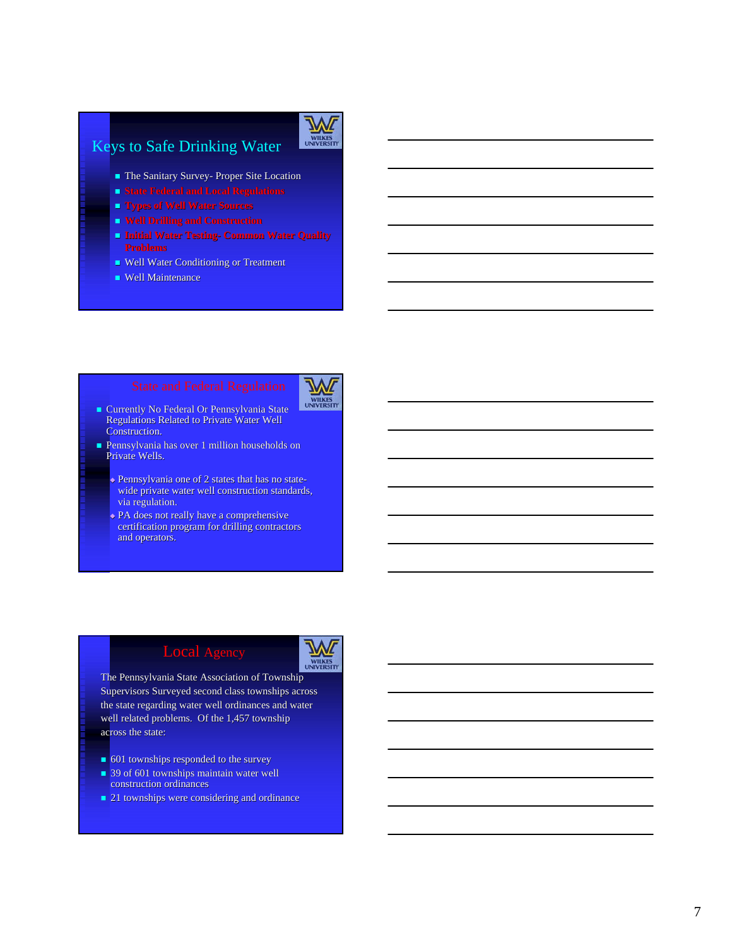### Keys to Safe Drinking Water



- **The Sanitary Survey- Proper Site Location**
- 
- **Types of Well Water Sources**
- 
- **Problems Problems**
- Well Water Conditioning or Treatment
- $\blacksquare$  Well Maintenance



- **Currently No Federal Or Pennsylvania State** Regulations Related to Private Water Well Construction.
- Pennsylvania has over 1 million households on Pennsylvania has over 1 million households on Private Wells.
	- Pennsylvania one of 2 states that has no statewide private water well construction standards, via regulation.
	- PA does not really have a comprehensive certification program for drilling contractors and operators.



The Pennsylvania State Association of Township Supervisors Surveyed second class townships across the state regarding water well ordinances and water well related problems. Of the 1,457 township across the state:

- 601 townships responded to the survey
- $\blacksquare$  39 of 601 townships maintain water well construction ordinances
- 21 townships were considering and ordinance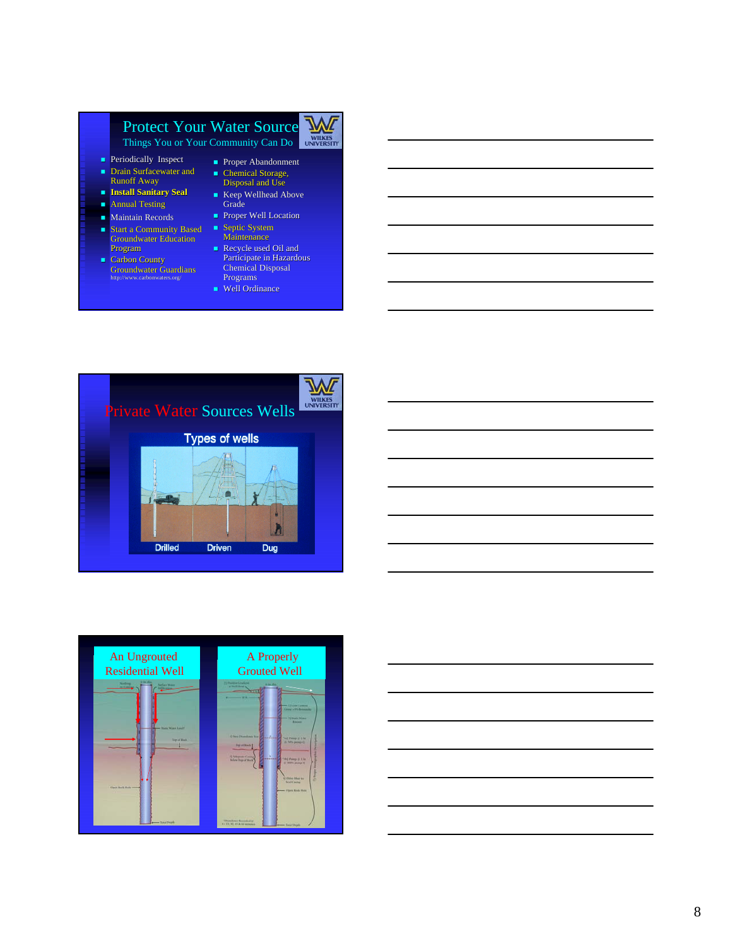# Protect Your Water Source



Things You or Your Community Can Do

- **Periodically Inspect**
- $\blacksquare$  Drain Surfacewater and Runoff Away
- **Install Sanitary Seal**
- **Annual Testing**
- **Maintain Records**
- $\blacksquare$  Start a Community Based **Groundwater Education** Program
- $\blacksquare$  Carbon County Groundwater Guardians

#### ■ Proper Abandonment  $\blacksquare$  Chemical Storage, Disposal and Use

- Keep Wellhead Above<br>Grade
- Proper Well Location  $S$ eptic System
- Maintenance Recycle used Oil and
- Participate in Hazardous<br>Chemical Disposal Programs
- Well Ordinance





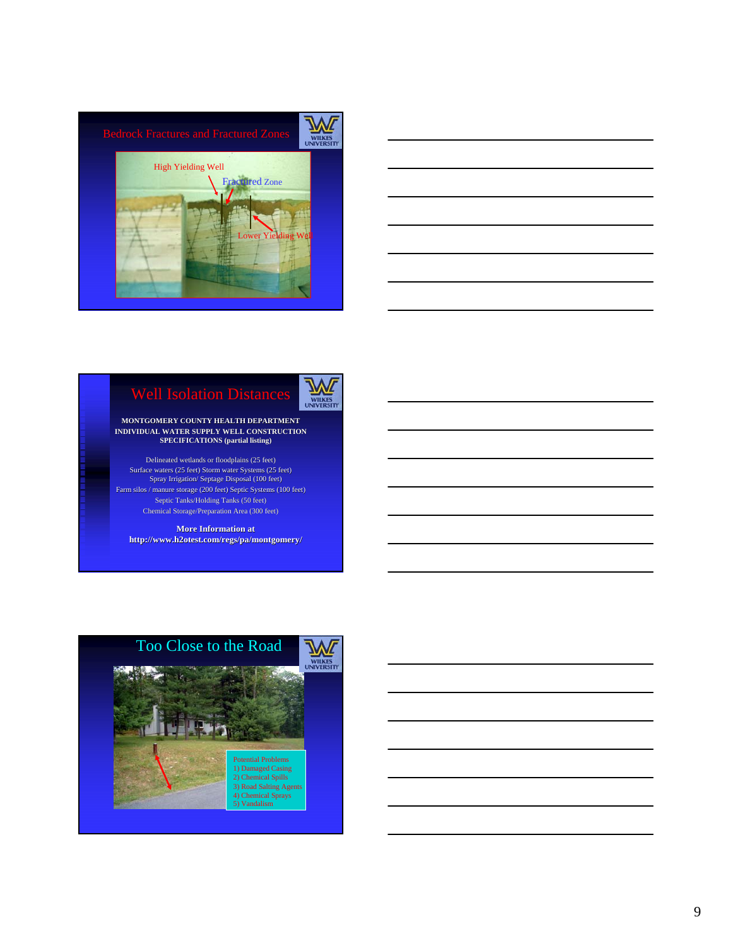







#### **MONTGOMERY COUNTY HEALTH DEPARTMENT INDIVIDUAL WATER SUPPLY WELL CONSTRUCTION**<br>SPECIFICATIONS (partial listing)

Delineated wetlands or floodplains (25 feet) Surface waters (25 feet) Storm water Systems (25 feet) Spray Irrigation/ Septage Disposal (100 feet) Farm silos / manure storage (200 feet) Septic Systems (100 feet) Septic Tanks/Holding Tanks (50 feet) Chemical Storage/Preparation Area (300 feet)

**More Information at http://www.h2otest.com/regs/pa/montgomery/**

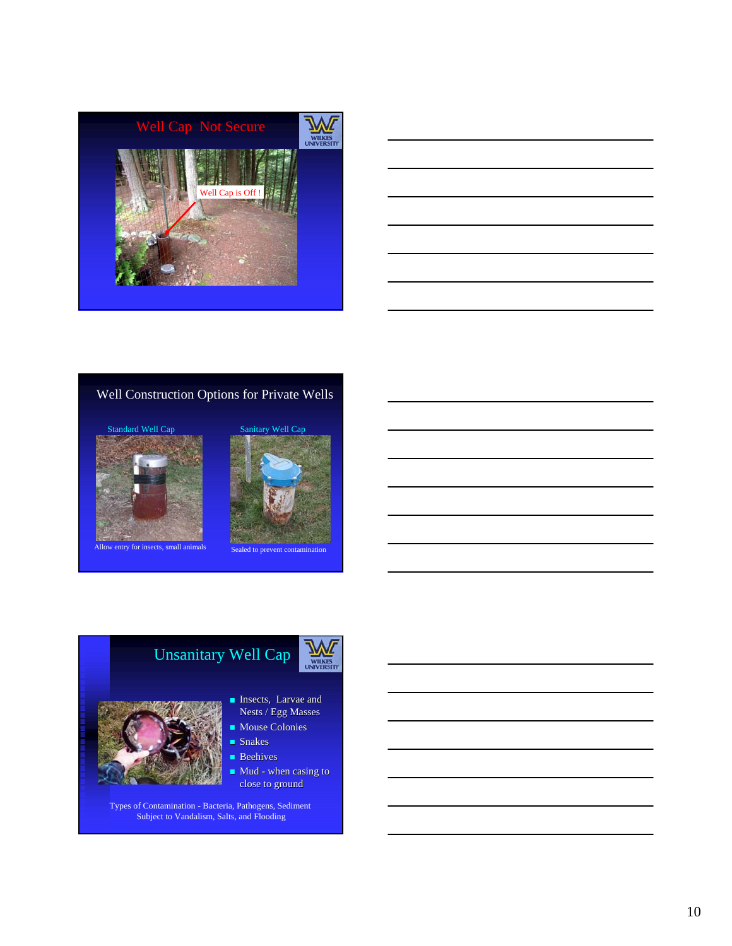



### Well Construction Options for Private Wells





Allow entry for insects, small animals Sealed to prevent conta





- **Insects**, Larvae and Nests / Egg Masses
- $\blacksquare$  Mouse Colonies
- Snakes
- **Beehives**
- Mud when casing to close to ground

Types of Contamination - Bacteria, Pathogens, Sediment Subject to Vandalism, Salts, and Flooding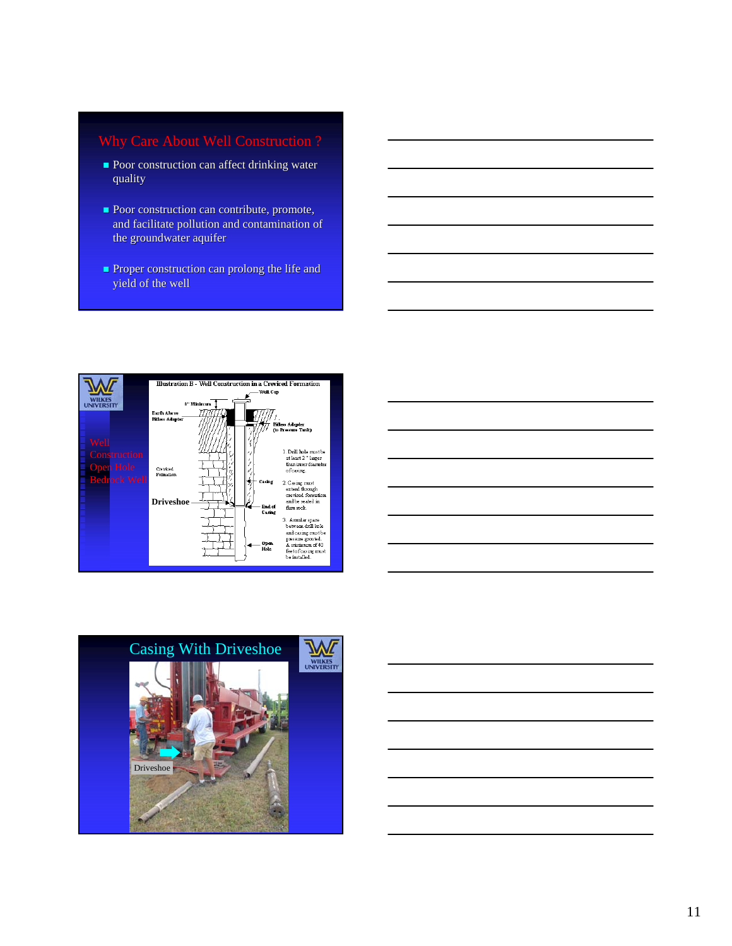- **Poor construction can affect drinking water** quality
- **Poor construction can contribute, promote,** and facilitate pollution and contamination of the groundwater aquifer
- Proper construction can prolong the life and Proper construction can prolong the life and yield of the well





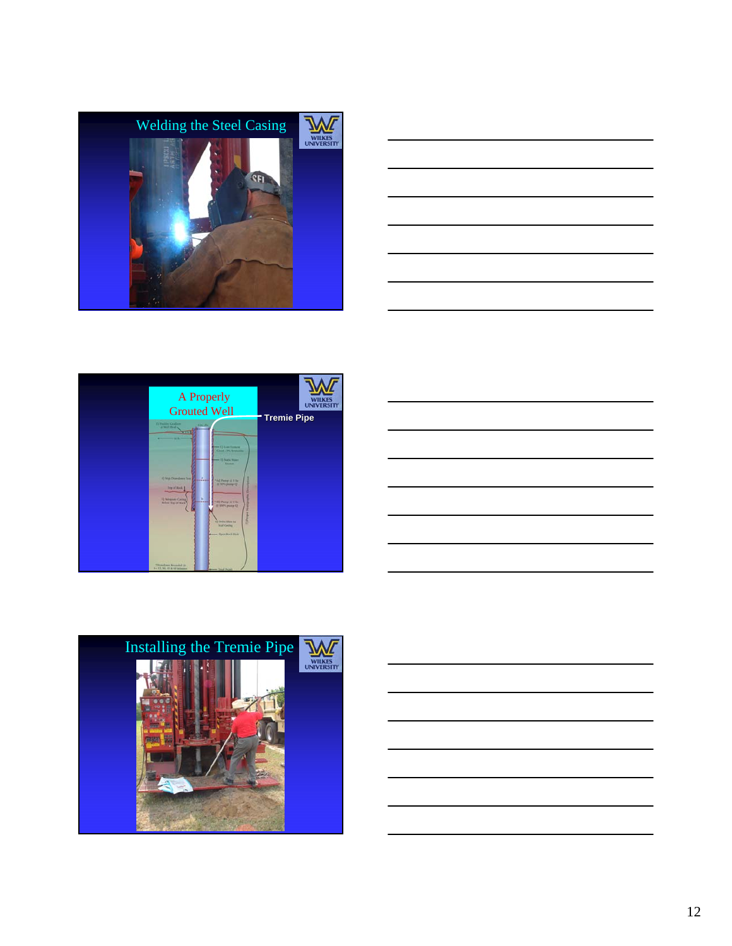







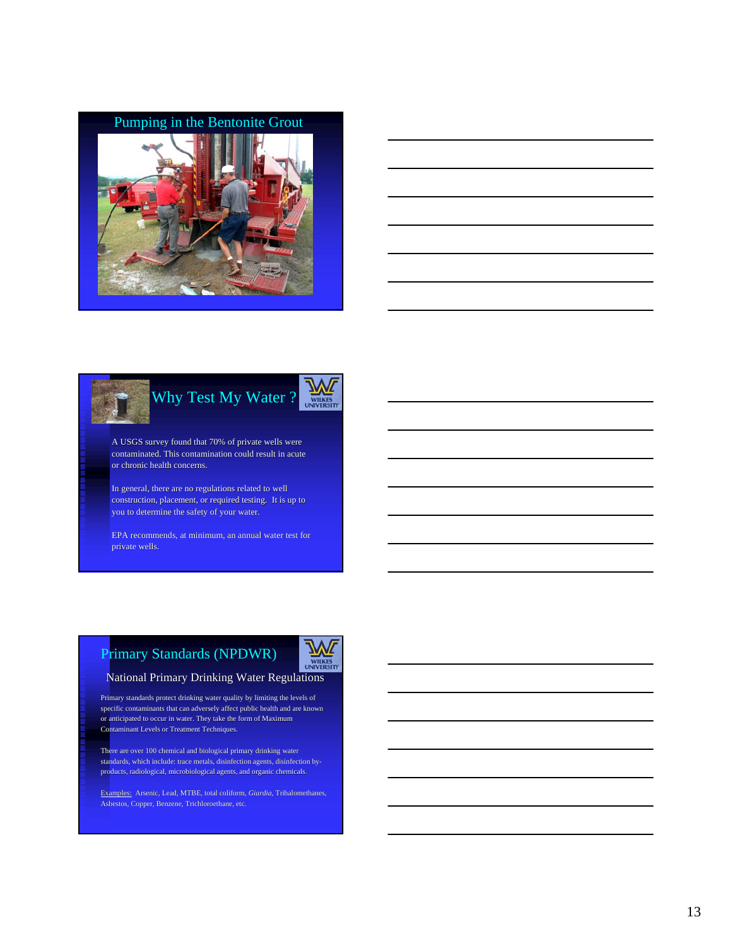# Pumping in the Bentonite Grout



| <u> 1989 - Johann Barn, mars eta bainar eta bat erroman erroman erroman erroman erroman erroman erroman erroman e</u> |  | $\overline{\phantom{a}}$                      |
|-----------------------------------------------------------------------------------------------------------------------|--|-----------------------------------------------|
|                                                                                                                       |  | <u> 1989 - Andrea Andrew Maria (h. 1989).</u> |
|                                                                                                                       |  |                                               |



A USGS survey found that 70% of private wells were contaminated. This contamination could result in acute or chronic health concerns.

In general, there are no regulations related to well construction, placement, or required testing. It is up to you to determine the safety of your water.

EPA recommends, at minimum, an annual water test for private wells.

# Primary Standards (NPDWR)



# National Primary Drinking Water Regulations National Primary Drinking Water Regulations

Primary standards protect drinking water quality by limiting the levels of specific contaminants that can adversely affect public health and are known or anticipated to occur in water. They take the form of Maximum Contaminant Levels or Treatment Techniques.

There are over 100 chemical and biological primary drinking water standards, which include: trace metals, disinfection agents, disinfection byproducts, radiological, microbiological agents, and organic chemicals.

Examples: Arsenic, Lead, MTBE, total coliform, *Giardia*, Trihalomethanes, Asbestos, Copper, Benzene, Trichloroethane, etc.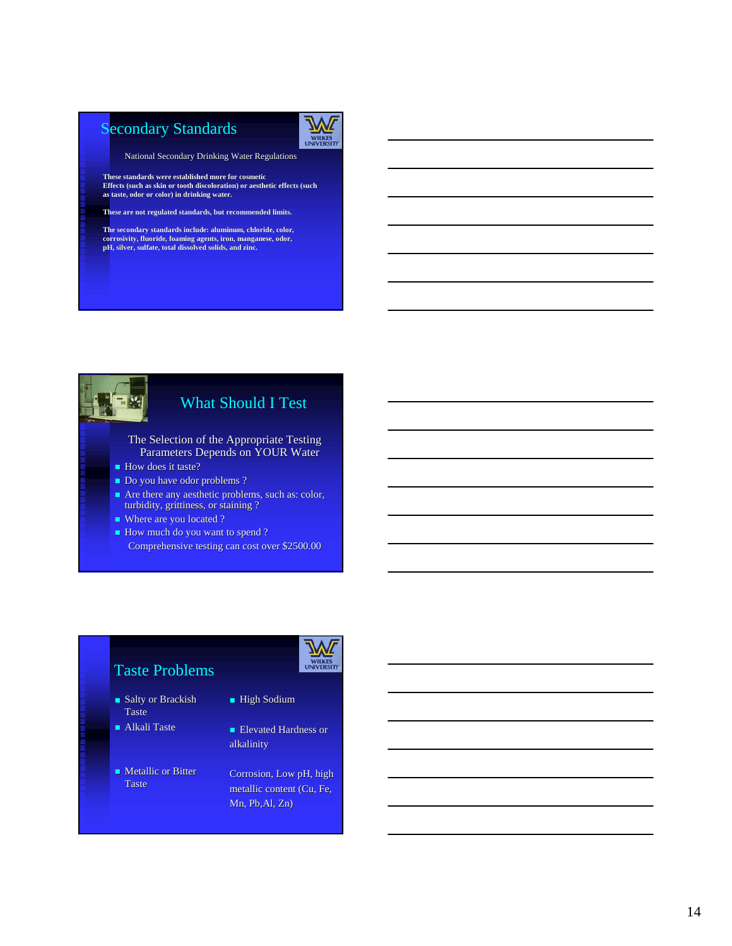# Secondary Standards



National Secondary Drinking Water Regulations

**These standards were established more for cosmetic Effects (such as skin or tooth discoloration) or aesthetic effects (such as taste, odor or color) in drinking water. odor or in drinking water.**

**These are not regulated standards, but recommended limits. not regulated but recommended limits.**

**The secondary standards include: aluminum, chloride, color, The secondary standards include: aluminum, chloride, color, corrosivity, fluoride, foaming agents, iron, manganese, odor, agents, iron, pH, silver, sulfate, total dissolved solids, and zinc. pH, silver, sulfate, total dissolved solids, and zinc.**



### What Should I Test

- The Selection of the Appropriate Testing Parameters Depends on YOUR Water
- How does it taste?
- Do you have odor problems ?
- $\blacksquare$  Are there any aesthetic problems, such as: color, turbidity, grittiness, or staining ?
- Where are you located ?
- How much do you want to spend ?
- Comprehensive testing can cost over \$2500.00

# Taste Problems

- $\blacksquare$  Salty or Brackish Taste
- Alkali Taste
- $\blacksquare$  Metallic or Bitter Taste

- **High Sodium**
- Elevated Hardness or alkalinity
- Corrosion, Low pH, high metallic content (Cu, Fe,  $Mn$ , Pb, Al, Zn)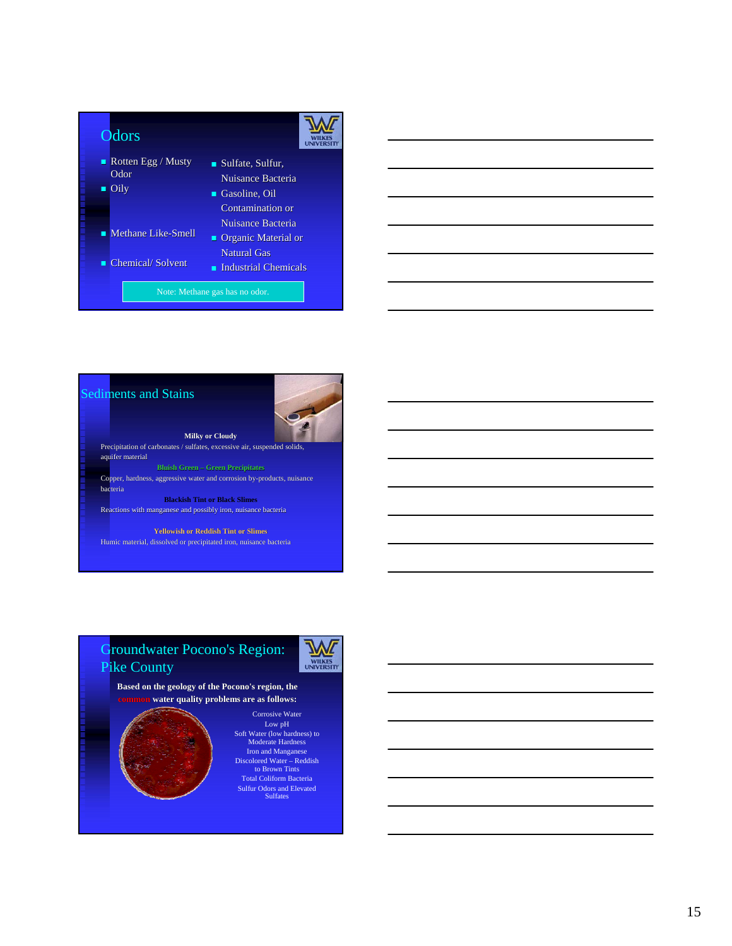

#### Sediments and Stains



**Milky or Cloudy** Precipitation of carbonates / sulfates, excessive air, suspended aquifer material Copper, hardness, aggressive water and corrosion by-products, nuisance bacteria

**Blackish Tint or Black Slimes** Reactions with manganese and possibly iron, nuisance bacteria

**Yellowish or Reddish Tint or Slimes** Humic material, dissolved or precipitated iron, nuisance bacteria

### Groundwater Pocono's Region: Pike County



**Based on the geology of the Pocono's region, the common water quality problems are as follows: water quality problems are as follows:**



Corrosive Water Low pH Soft Water (low hardness) to Moderate Hardness Iron and Manganese Discolored Water – Reddish to Brown Tints Total Coliform Bacteria Sulfur Odors and Elevated Sulfates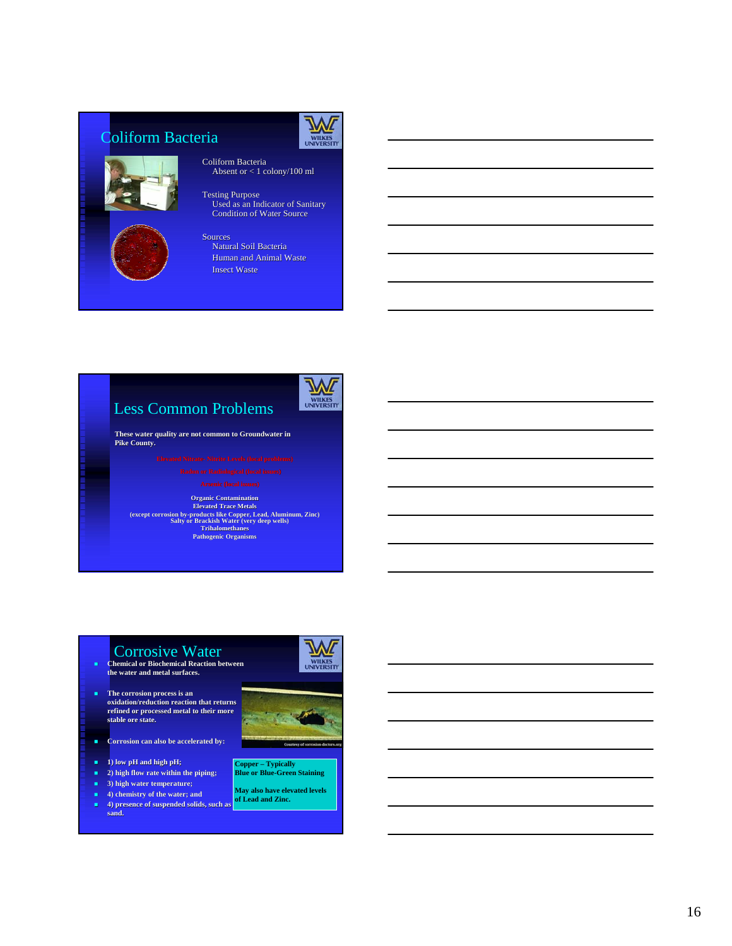# Coliform Bacteria



# **WILKES**

- Coliform Bacteria Absent or < 1 colony/100 ml Absent or < 1 colony/100 ml
- Testing Purpose Used as an Indicator of Sanitary Used as an Indicator of Sanitary Condition of Water Source
- Sources Natural Soil Bacteria Human and Animal Waste Insect Waste

# Less Common Problems



**These water quality are not common to Groundwater in Pike County. Pike County.**

**Organic Contamination Elevated Trace Metals (except corrosion by-products like Copper, Lead, Aluminum, Zinc) Salty or Brackish Water (very deep wells) Trihalomethanes Pathogenic Organisms**

## **CONTOSIVE Water**<br> **Chemical or Biochemical Reaction between the water and metal surfaces. water and**

- **The corrosion process is an oxidation/reduction reaction that returns oxidation/reduction reaction that returns**  refined or processed metal to their more<br>stable ore state.
- **E** Corrosion can also be accelerated by:
- **1) low pH and high pH;**
- **2) high flow rate within the piping;**
- **3**) high water temperature;
- **4) chemistry of the water; and 4**) presence of suspended solids, such as **sand.**





### **Copper – Typically Blue or Blue-Green Staining**

**May also have elevated levels of Lead and Zinc.**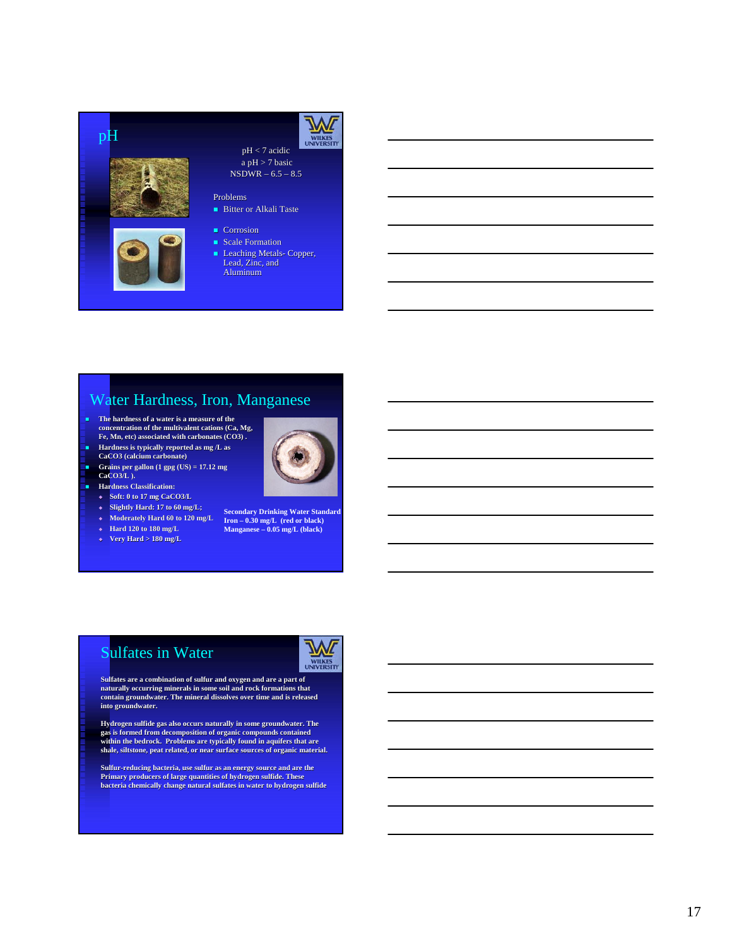

**Leaching Metals- Copper,** Lead, Zinc, and Aluminum

### Water Hardness, Iron, Manganese

- **The hardness of a water is a measure of the concentration of the multivalent cations (Ca, Mg, Fe, Mn, etc) associated with carbonates (CO3) . carbonates (CO3)**
- **Hardness is typically reported as mg /L as**
- 
- **CaCO3 (calcium carbonate) Grains per gallon (1 gpg (US) = 17.12 mg**
- $CaCO3/L$  ).
- **Hardness Classification:** 
	- **Soft: 0 to 17 mg CaCO3/L**
	- **Slightly Hard: 17 to 60 mg/L;**
	- **Moderately Hard 60 to 120 mg/L**
	- **Hard 120 to 180 mg/L**
	- **Very Hard > 180 mg/L**

**Secondary Drinking Water Standard Iron – 0.30 mg/L (red or black) Manganese – 0.05 mg/L (black)**

# Sulfates in Water



**Sulfates are a combination of sulfur and oxygen and are a part of naturally occurring minerals in some soil and rock formations that contain groundwater. The mineral dissolves over time and is released** into groundwater.

**Hydrogen sulfide gas also occurs naturally in some groundwater. Hydrogen sulfide gas also occurs naturally in some groundwater. The**  gas is formed from decomposition of organic compounds contained<br>within the bedrock. Problems are typically found in aquifers that are<br>shale, siltstone, peat related, or near surface sources of organic material.

**Sulfur-reducing bacteria, use sulfur as an energy source and are the Primary producers of large quantities of hydrogen sulfide. These bacteria chemically change natural sulfates in water to hydrogen sulfide**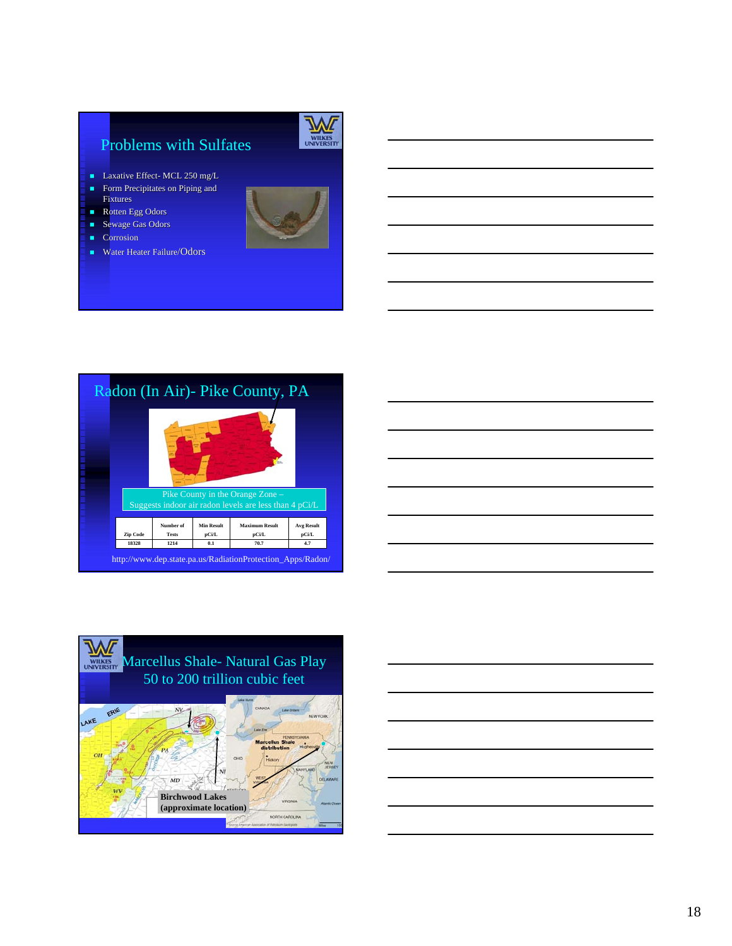# Problems with Sulfates

- **Laxative Effect- MCL 250 mg/L**
- Form Precipitates on Piping and Fixtures
- Rotten Egg Odors
- Sewage Gas Odors
- Corrosion
- **Water Heater Failure/Odors**



# Radon (In Air)- Pike County, PA





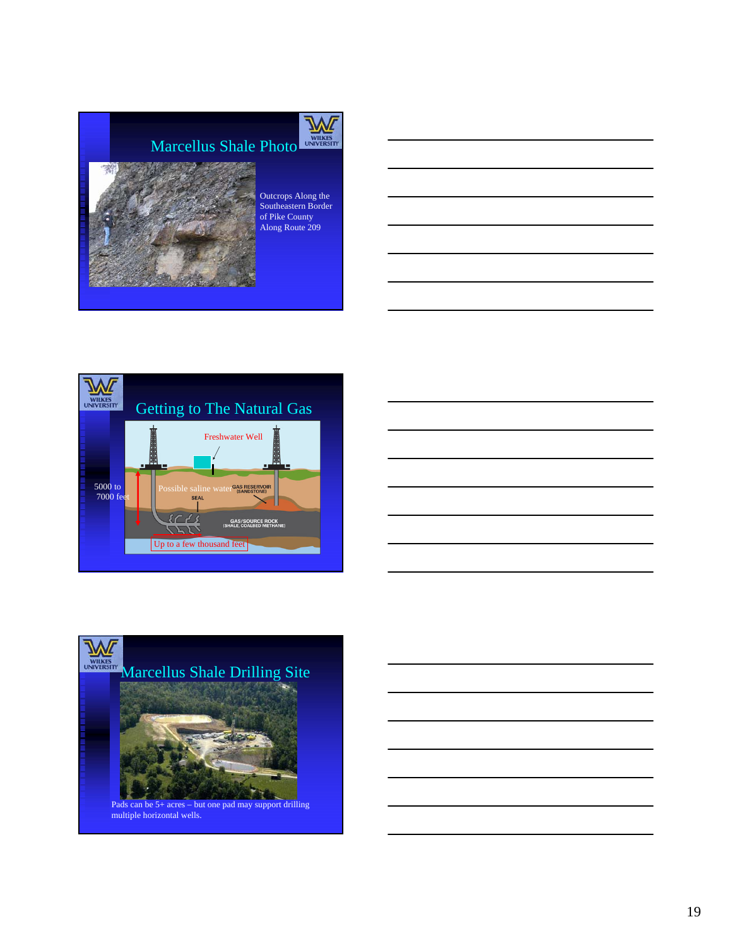

Outcrops Along the Southeastern Border of Pike County Along Route 209





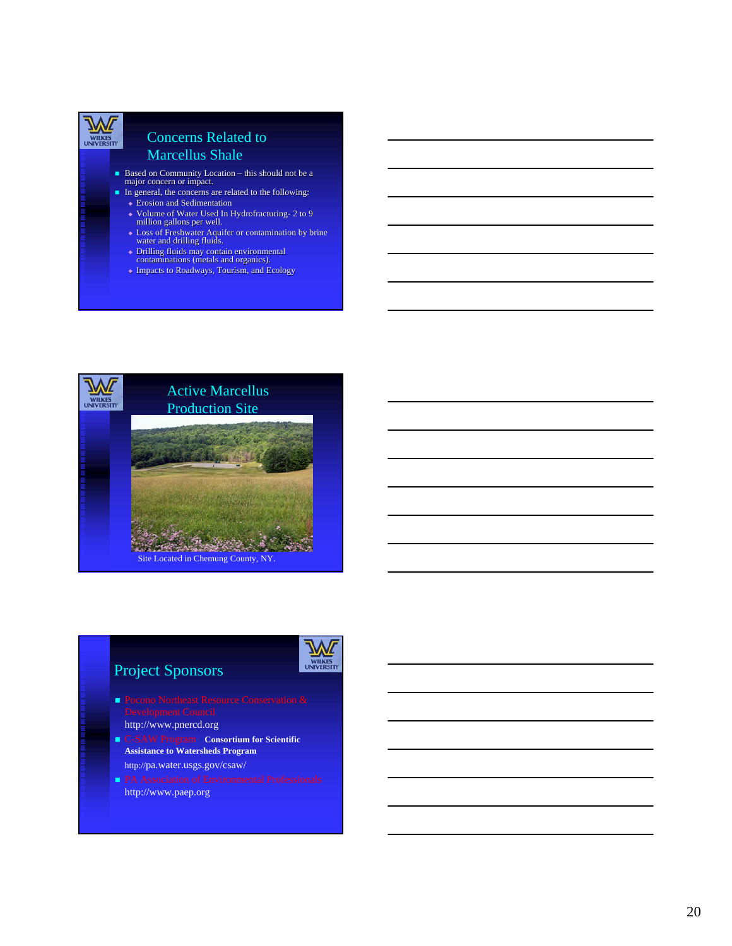

### Concerns Related to Marcellus Shale

- $\blacksquare$  Based on Community Location this should not be a major concern or impact.
- In general, the concerns are related to the following:
	- Erosion and Sedimentation
	- ◆ Volume of Water Used In Hydrofracturing- 2 to 9 million gallons per well.
	- Loss of Freshwater Aquifer or contamination by brine Aquifer or water and drilling fluids. water and drilling fluids.
	- Drilling fluids may contain environmental Drilling fluids contain environmental contaminations (metals and organics). contaminations (metals and organics).
	- ◆ Impacts to Roadways, Tourism, and Ecology



# Project Sponsors



- **Pocono Northeast Resource Conservation &**
- http://www.pnercd.org
- C-SAW Program **Consortium for Scientific Assistance to Watersheds Program** http://pa.water.usgs.gov/csaw/
- http://www.paep.org